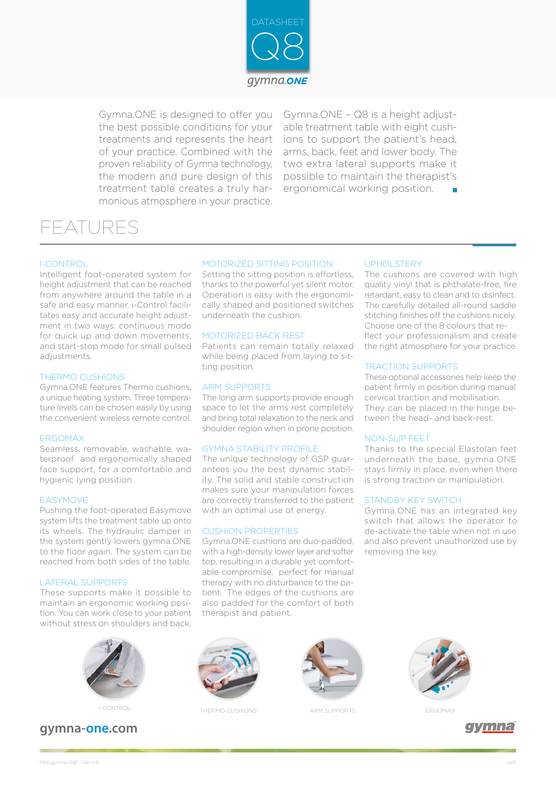

Gymna.ONE is designed to offer you the best possible conditions for your treatments and represents the heart of your practice. Combined with the proven reliability of Gymna technology, the modern and pure design of this treatment table creates a truly harmonious atmosphere in your practice.

Gymna.ONE – Q8 is a height adjustable treatment table with eight cushions to support the patient's head, arms, back, feet and lower body. The two extra lateral supports make it possible to maintain the therapist's ergonomical working position.

UPHOLSTERY

TRACTION SUPPORTS

STANDBY KEY SWITCH

removing the key.

NON-SLIP FEET

The cushions are covered with high quality vinyl that is phthalate-free, fire retardant, easy to clean and to disinfect. The carefully detailed all-round saddle stitching finishes off the cushions nicely. Choose one of the 8 colours that reflect your professionalism and create the right atmosphere for your practice.

These optional accessories help keep the patient firmly in position during manual cervical traction and mobilisation. They can be placed in the hinge between the head- and back-rest.

Thanks to the special Elastolan feet underneath the base, gymna.ONE stays firmly in place, even when there is strong traction or manipulation.

Gymna.ONE has an integrated key switch that allows the operator to de-activate the table when not in use and also prevent unauthorized use by

# FEATURES

### I-CONTROL

Intelligent foot-operated system for height adjustment that can be reached from anywhere around the table in a safe and easy manner. i-Control facilitates easy and accurate height adjustment in two ways: continuous mode for quick up and down movements. and start-stop mode for small pulsed adjustments.

#### THERMO CUSHIONS

Gymna.ONE features Thermo cushions, a unique heating system. Three temperature levels can be chosen easily by using the convenient wireless remote control.

#### ERGOMAX

Seamless, removable, washable, waterproof and ergonomically shaped face support, for a comfortable and hygienic lying position.

#### EASYMOVE

Pushing the foot-operated Easymove system lifts the treatment table up onto its wheels. The hydraulic damper in the system gently lowers gymna.ONE to the floor again. The system can be reached from both sides of the table.

#### LATERAL SUPPORTS

These supports make it possible to maintain an ergonomic working position. You can work close to your patient without stress on shoulders and back.



### **gymna-one.com**

#### MOTORIZED SITTING POSITION

Setting the sitting position is effortless, thanks to the powerful yet silent motor. Operation is easy with the ergonomically shaped and positioned switches underneath the cushion.

#### MOTORIZED BACK REST

Patients can remain totally relaxed while being placed from laying to sitting position.

#### ARM SUPPORTS

The long arm supports provide enough space to let the arms rest completely and bring total relaxation to the neck and shoulder region when in prone position.

#### GYMNA STABILITY PROFILE

The unique technology of GSP guarantees you the best dynamic stability. The solid and stable construction makes sure your manipulation forces are correctly transferred to the patient with an optimal use of energy.

#### CUSHION PROPERTIES

Gymna.ONE cushions are duo-padded, with a high-density lower layer and softer top, resulting in a durable yet comfortable compromise, perfect for manual therapy with no disturbance to the patient. The edges of the cushions are also padded for the comfort of both therapist and patient.



I-CONTROL THERMO CUSHIONS ARM SUPPORTS ERGOMAX